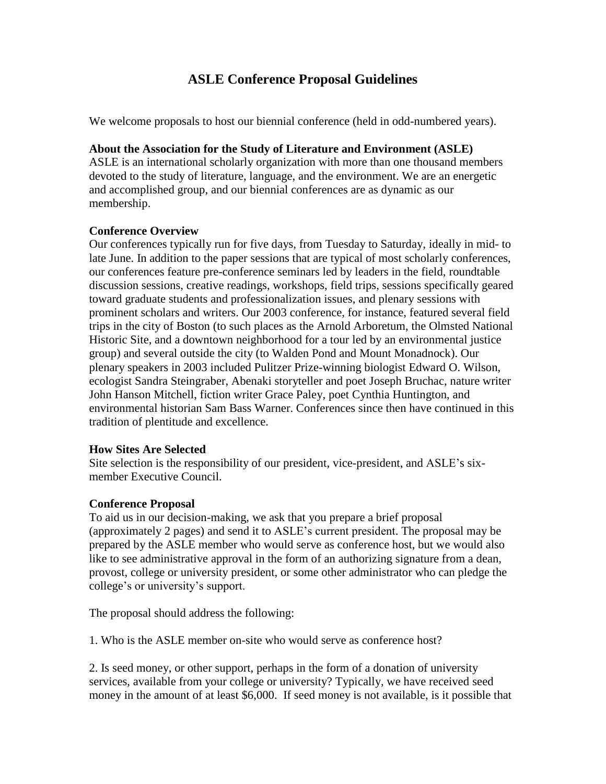# **ASLE Conference Proposal Guidelines**

We welcome proposals to host our biennial conference (held in odd-numbered years).

### **About the Association for the Study of Literature and Environment (ASLE)**

ASLE is an international scholarly organization with more than one thousand members devoted to the study of literature, language, and the environment. We are an energetic and accomplished group, and our biennial conferences are as dynamic as our membership.

### **Conference Overview**

Our conferences typically run for five days, from Tuesday to Saturday, ideally in mid- to late June. In addition to the paper sessions that are typical of most scholarly conferences, our conferences feature pre-conference seminars led by leaders in the field, roundtable discussion sessions, creative readings, workshops, field trips, sessions specifically geared toward graduate students and professionalization issues, and plenary sessions with prominent scholars and writers. Our 2003 conference, for instance, featured several field trips in the city of Boston (to such places as the Arnold Arboretum, the Olmsted National Historic Site, and a downtown neighborhood for a tour led by an environmental justice group) and several outside the city (to Walden Pond and Mount Monadnock). Our plenary speakers in 2003 included Pulitzer Prize-winning biologist Edward O. Wilson, ecologist Sandra Steingraber, Abenaki storyteller and poet Joseph Bruchac, nature writer John Hanson Mitchell, fiction writer Grace Paley, poet Cynthia Huntington, and environmental historian Sam Bass Warner. Conferences since then have continued in this tradition of plentitude and excellence.

### **How Sites Are Selected**

Site selection is the responsibility of our president, vice-president, and ASLE's sixmember Executive Council.

## **Conference Proposal**

To aid us in our decision-making, we ask that you prepare a brief proposal (approximately 2 pages) and send it to ASLE's current president. The proposal may be prepared by the ASLE member who would serve as conference host, but we would also like to see administrative approval in the form of an authorizing signature from a dean, provost, college or university president, or some other administrator who can pledge the college's or university's support.

The proposal should address the following:

1. Who is the ASLE member on-site who would serve as conference host?

2. Is seed money, or other support, perhaps in the form of a donation of university services, available from your college or university? Typically, we have received seed money in the amount of at least \$6,000. If seed money is not available, is it possible that